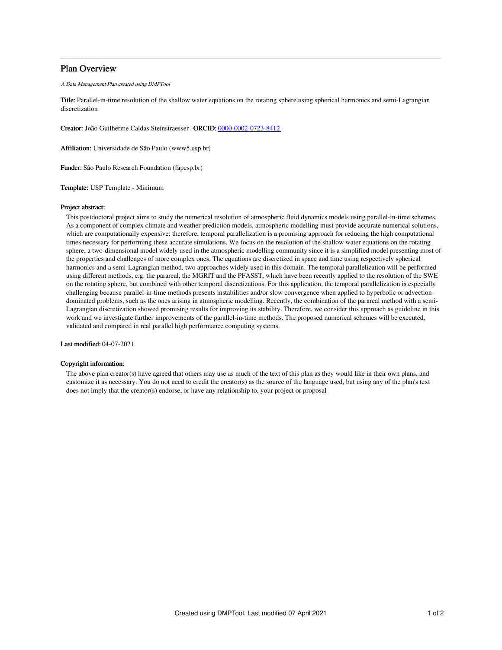# Plan Overview

A Data Management Plan created using DMPTool

Title: Parallel-in-time resolution of the shallow water equations on the rotating sphere using spherical harmonics and semi-Lagrangian discretization

Creator: João Guilherme Caldas Steinstraesser -ORCID: [0000-0002-0723-8412](https://orcid.org/0000-0002-0723-8412)

Affiliation: Universidade de São Paulo (www5.usp.br)

Funder: São Paulo Research Foundation (fapesp.br)

Template: USP Template - Minimum

### Project abstract:

This postdoctoral project aims to study the numerical resolution of atmospheric fluid dynamics models using parallel-in-time schemes. As a component of complex climate and weather prediction models, atmospheric modelling must provide accurate numerical solutions, which are computationally expensive; therefore, temporal parallelization is a promising approach for reducing the high computational times necessary for performing these accurate simulations. We focus on the resolution of the shallow water equations on the rotating sphere, a two-dimensional model widely used in the atmospheric modelling community since it is a simplified model presenting most of the properties and challenges of more complex ones. The equations are discretized in space and time using respectively spherical harmonics and a semi-Lagrangian method, two approaches widely used in this domain. The temporal parallelization will be performed using different methods, e.g. the parareal, the MGRIT and the PFASST, which have been recently applied to the resolution of the SWE on the rotating sphere, but combined with other temporal discretizations. For this application, the temporal parallelization is especially challenging because parallel-in-time methods presents instabilities and/or slow convergence when applied to hyperbolic or advectiondominated problems, such as the ones arising in atmospheric modelling. Recently, the combination of the parareal method with a semi-Lagrangian discretization showed promising results for improving its stability. Therefore, we consider this approach as guideline in this work and we investigate further improvements of the parallel-in-time methods. The proposed numerical schemes will be executed, validated and compared in real parallel high performance computing systems.

Last modified: 04-07-2021

## Copyright information:

The above plan creator(s) have agreed that others may use as much of the text of this plan as they would like in their own plans, and customize it as necessary. You do not need to credit the creator(s) as the source of the language used, but using any of the plan's text does not imply that the creator(s) endorse, or have any relationship to, your project or proposal